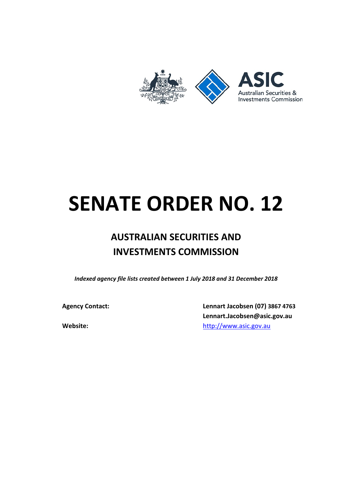

# **SENATE ORDER NO. 12**

# **AUSTRALIAN SECURITIES AND INVESTMENTS COMMISSION**

*Indexed agency file lists created between 1 July 2018 and 31 December 2018*

**Agency Contact: Lennart Jacobsen (07) 3867 4763 Lennart.Jacobsen@asic.gov.au Website: Website: [http://www.asic.gov.au](http://www.asic.gov.au/)**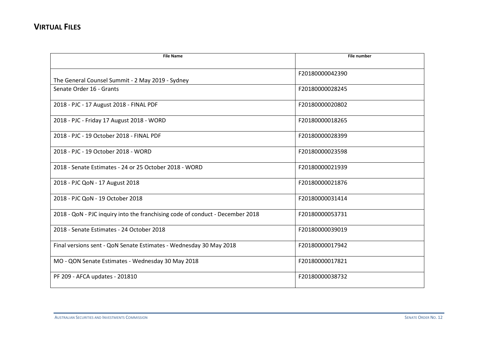| <b>File Name</b>                                                              | <b>File number</b> |
|-------------------------------------------------------------------------------|--------------------|
|                                                                               |                    |
|                                                                               | F20180000042390    |
| The General Counsel Summit - 2 May 2019 - Sydney                              |                    |
| Senate Order 16 - Grants                                                      | F20180000028245    |
| 2018 - PJC - 17 August 2018 - FINAL PDF                                       | F20180000020802    |
| 2018 - PJC - Friday 17 August 2018 - WORD                                     | F20180000018265    |
| 2018 - PJC - 19 October 2018 - FINAL PDF                                      | F20180000028399    |
| 2018 - PJC - 19 October 2018 - WORD                                           | F20180000023598    |
| 2018 - Senate Estimates - 24 or 25 October 2018 - WORD                        | F20180000021939    |
| 2018 - PJC QoN - 17 August 2018                                               | F20180000021876    |
| 2018 - PJC QoN - 19 October 2018                                              | F20180000031414    |
| 2018 - QoN - PJC inquiry into the franchising code of conduct - December 2018 | F20180000053731    |
| 2018 - Senate Estimates - 24 October 2018                                     | F20180000039019    |
| Final versions sent - QoN Senate Estimates - Wednesday 30 May 2018            | F20180000017942    |
| MO - QON Senate Estimates - Wednesday 30 May 2018                             | F20180000017821    |
| PF 209 - AFCA updates - 201810                                                | F20180000038732    |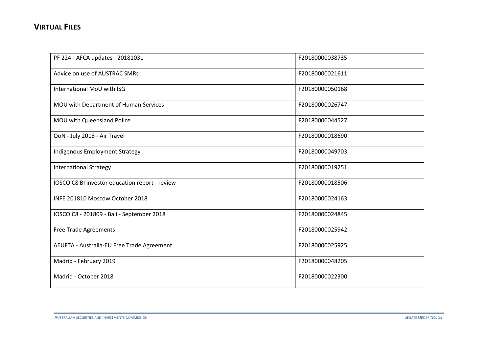| PF 224 - AFCA updates - 20181031               | F20180000038735 |
|------------------------------------------------|-----------------|
| Advice on use of AUSTRAC SMRs                  | F20180000021611 |
| International MoU with ISG                     | F20180000050168 |
| MOU with Department of Human Services          | F20180000026747 |
| MOU with Queensland Police                     | F20180000044527 |
| QoN - July 2018 - Air Travel                   | F20180000018690 |
| Indigenous Employment Strategy                 | F20180000049703 |
| <b>International Strategy</b>                  | F20180000019251 |
| IOSCO C8 BI investor education report - review | F20180000018506 |
| INFE 201810 Moscow October 2018                | F20180000024163 |
| IOSCO C8 - 201809 - Bali - September 2018      | F20180000024845 |
| <b>Free Trade Agreements</b>                   | F20180000025942 |
| AEUFTA - Australia-EU Free Trade Agreement     | F20180000025925 |
| Madrid - February 2019                         | F20180000048205 |
| Madrid - October 2018                          | F20180000022300 |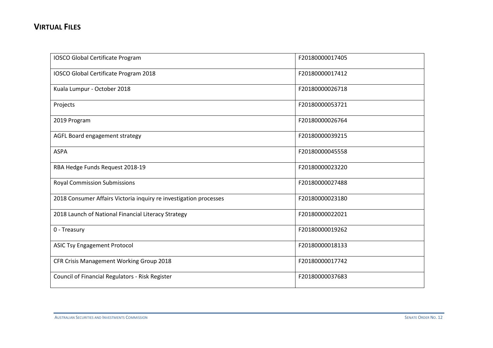| IOSCO Global Certificate Program                                  | F20180000017405 |
|-------------------------------------------------------------------|-----------------|
| IOSCO Global Certificate Program 2018                             | F20180000017412 |
| Kuala Lumpur - October 2018                                       | F20180000026718 |
| Projects                                                          | F20180000053721 |
| 2019 Program                                                      | F20180000026764 |
| AGFL Board engagement strategy                                    | F20180000039215 |
| <b>ASPA</b>                                                       | F20180000045558 |
| RBA Hedge Funds Request 2018-19                                   | F20180000023220 |
| <b>Royal Commission Submissions</b>                               | F20180000027488 |
| 2018 Consumer Affairs Victoria inquiry re investigation processes | F20180000023180 |
| 2018 Launch of National Financial Literacy Strategy               | F20180000022021 |
| 0 - Treasury                                                      | F20180000019262 |
| <b>ASIC Tsy Engagement Protocol</b>                               | F20180000018133 |
| CFR Crisis Management Working Group 2018                          | F20180000017742 |
| Council of Financial Regulators - Risk Register                   | F20180000037683 |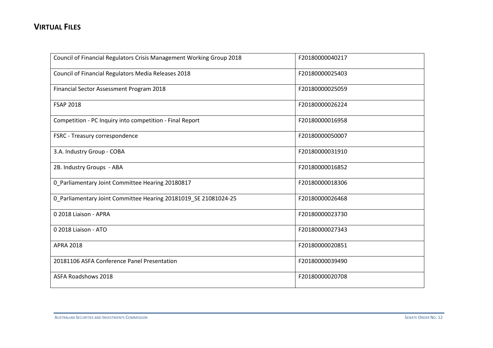| Council of Financial Regulators Crisis Management Working Group 2018 | F20180000040217 |
|----------------------------------------------------------------------|-----------------|
| Council of Financial Regulators Media Releases 2018                  | F20180000025403 |
| Financial Sector Assessment Program 2018                             | F20180000025059 |
| <b>FSAP 2018</b>                                                     | F20180000026224 |
| Competition - PC Inquiry into competition - Final Report             | F20180000016958 |
| FSRC - Treasury correspondence                                       | F20180000050007 |
| 3.A. Industry Group - COBA                                           | F20180000031910 |
| 2B. Industry Groups - ABA                                            | F20180000016852 |
| 0 Parliamentary Joint Committee Hearing 20180817                     | F20180000018306 |
| 0_Parliamentary Joint Committee Hearing 20181019_SE 21081024-25      | F20180000026468 |
| 0 2018 Liaison - APRA                                                | F20180000023730 |
| 0 2018 Liaison - ATO                                                 | F20180000027343 |
| <b>APRA 2018</b>                                                     | F20180000020851 |
| 20181106 ASFA Conference Panel Presentation                          | F20180000039490 |
| <b>ASFA Roadshows 2018</b>                                           | F20180000020708 |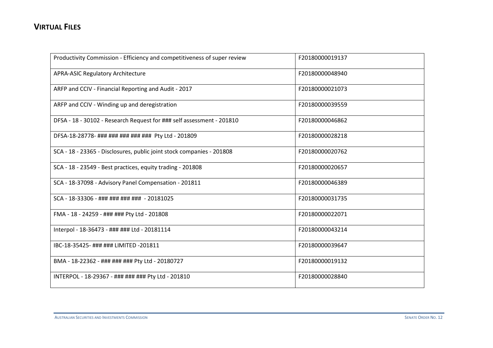| Productivity Commission - Efficiency and competitiveness of super review | F20180000019137 |
|--------------------------------------------------------------------------|-----------------|
| <b>APRA-ASIC Regulatory Architecture</b>                                 | F20180000048940 |
| ARFP and CCIV - Financial Reporting and Audit - 2017                     | F20180000021073 |
| ARFP and CCIV - Winding up and deregistration                            | F20180000039559 |
| DFSA - 18 - 30102 - Research Request for ### self assessment - 201810    | F20180000046862 |
| DFSA-18-28778- ### ### ### ### ### Pty Ltd - 201809                      | F20180000028218 |
| SCA - 18 - 23365 - Disclosures, public joint stock companies - 201808    | F20180000020762 |
| SCA - 18 - 23549 - Best practices, equity trading - 201808               | F20180000020657 |
| SCA - 18-37098 - Advisory Panel Compensation - 201811                    | F20180000046389 |
| SCA - 18-33306 - ### ### ### ### - 20181025                              | F20180000031735 |
| FMA - 18 - 24259 - ### ### Pty Ltd - 201808                              | F20180000022071 |
| Interpol - 18-36473 - ### ### Ltd - 20181114                             | F20180000043214 |
| IBC-18-35425- ### ### LIMITED -201811                                    | F20180000039647 |
| BMA - 18-22362 - ### ### ### Pty Ltd - 20180727                          | F20180000019132 |
| INTERPOL - 18-29367 - ### ### ### Pty Ltd - 201810                       | F20180000028840 |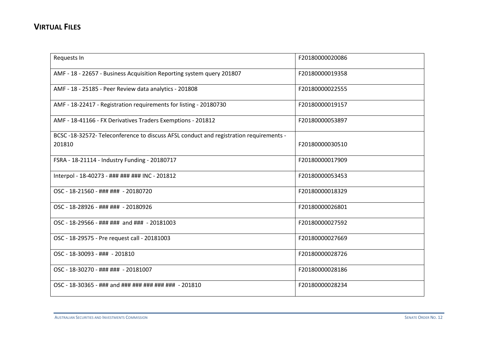| Requests In                                                                          | F20180000020086 |
|--------------------------------------------------------------------------------------|-----------------|
| AMF - 18 - 22657 - Business Acquisition Reporting system query 201807                | F20180000019358 |
| AMF - 18 - 25185 - Peer Review data analytics - 201808                               | F20180000022555 |
| AMF - 18-22417 - Registration requirements for listing - 20180730                    | F20180000019157 |
| AMF - 18-41166 - FX Derivatives Traders Exemptions - 201812                          | F20180000053897 |
| BCSC-18-32572-Teleconference to discuss AFSL conduct and registration requirements - |                 |
| 201810                                                                               | F20180000030510 |
| FSRA - 18-21114 - Industry Funding - 20180717                                        | F20180000017909 |
| Interpol - 18-40273 - ### ### ### INC - 201812                                       | F20180000053453 |
| OSC - 18-21560 - ### ### - 20180720                                                  | F20180000018329 |
| OSC - 18-28926 - ### ### - 20180926                                                  | F20180000026801 |
| OSC - 18-29566 - ### ### and ### - 20181003                                          | F20180000027592 |
| OSC - 18-29575 - Pre request call - 20181003                                         | F20180000027669 |
| OSC - 18-30093 - ### - 201810                                                        | F20180000028726 |
| OSC - 18-30270 - ### ### - 20181007                                                  | F20180000028186 |
| OSC - 18-30365 - ### and ### ### ### ### ### - 201810                                | F20180000028234 |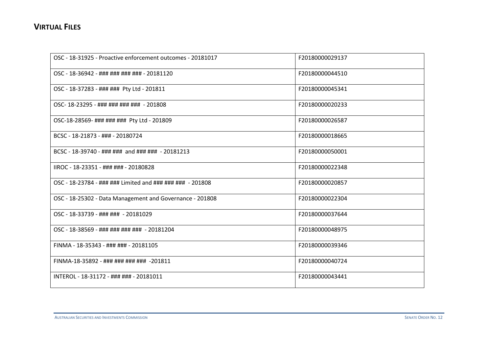| OSC - 18-31925 - Proactive enforcement outcomes - 20181017 | F20180000029137 |
|------------------------------------------------------------|-----------------|
| OSC - 18-36942 - ### ### ### ### - 20181120                | F20180000044510 |
| OSC - 18-37283 - ### ### Pty Ltd - 201811                  | F20180000045341 |
| OSC-18-23295 - ### ### ### ### - 201808                    | F20180000020233 |
| OSC-18-28569- ### ### ### Pty Ltd - 201809                 | F20180000026587 |
| BCSC - 18-21873 - ### - 20180724                           | F20180000018665 |
| BCSC - 18-39740 - ### ### and ### ### - 20181213           | F20180000050001 |
| IIROC - 18-23351 - ### ### - 20180828                      | F20180000022348 |
| OSC - 18-23784 - ### ### Limited and ### ### ### - 201808  | F20180000020857 |
| OSC - 18-25302 - Data Management and Governance - 201808   | F20180000022304 |
| OSC - 18-33739 - ### ### - 20181029                        | F20180000037644 |
| OSC - 18-38569 - ### ### ### ### - 20181204                | F20180000048975 |
| FINMA - 18-35343 - ### ### - 20181105                      | F20180000039346 |
| FINMA-18-35892 - ### ### ### ### -201811                   | F20180000040724 |
| INTEROL - 18-31172 - ### ### - 20181011                    | F20180000043441 |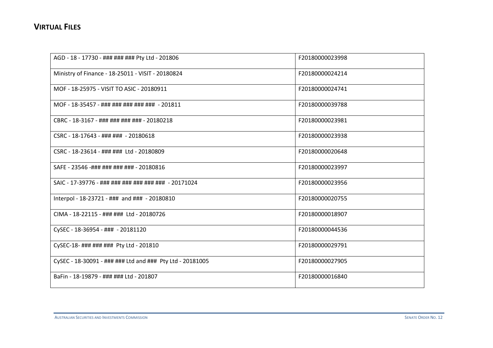| AGD - 18 - 17730 - ### ### ### Pty Ltd - 201806           | F20180000023998 |
|-----------------------------------------------------------|-----------------|
| Ministry of Finance - 18-25011 - VISIT - 20180824         | F20180000024214 |
| MOF - 18-25975 - VISIT TO ASIC - 20180911                 | F20180000024741 |
| MOF - 18-35457 - ### ### ### ### ### - 201811             | F20180000039788 |
| CBRC - 18-3167 - ### ### ### ### - 20180218               | F20180000023981 |
| CSRC - 18-17643 - ### ### - 20180618                      | F20180000023938 |
| CSRC - 18-23614 - ### ### Ltd - 20180809                  | F20180000020648 |
| SAFE - 23546 -### ### ### ### - 20180816                  | F20180000023997 |
| SAIC - 17-39776 - ### ### ### ### ### ### - 20171024      | F20180000023956 |
| Interpol - 18-23721 - ### and ### - 20180810              | F20180000020755 |
| CIMA - 18-22115 - ### ### Ltd - 20180726                  | F20180000018907 |
| CySEC - 18-36954 - ### - 20181120                         | F20180000044536 |
| CySEC-18- ### ### ### Pty Ltd - 201810                    | F20180000029791 |
| CySEC - 18-30091 - ### ### Ltd and ### Pty Ltd - 20181005 | F20180000027905 |
| BaFin - 18-19879 - ### ### Ltd - 201807                   | F20180000016840 |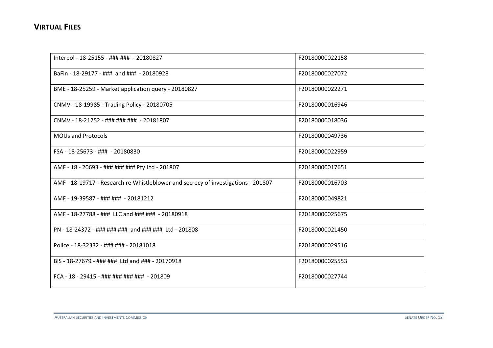| Interpol - 18-25155 - ### ### - 20180827                                          | F20180000022158 |
|-----------------------------------------------------------------------------------|-----------------|
| BaFin - 18-29177 - ### and ### - 20180928                                         | F20180000027072 |
| BME - 18-25259 - Market application query - 20180827                              | F20180000022271 |
| CNMV - 18-19985 - Trading Policy - 20180705                                       | F20180000016946 |
| CNMV - 18-21252 - ### ### ### - 20181807                                          | F20180000018036 |
| <b>MOUs and Protocols</b>                                                         | F20180000049736 |
| FSA - 18-25673 - ### - 20180830                                                   | F20180000022959 |
| AMF - 18 - 20693 - ### ### ### Pty Ltd - 201807                                   | F20180000017651 |
| AMF - 18-19717 - Research re Whistleblower and secrecy of investigations - 201807 | F20180000016703 |
| AMF - 19-39587 - ### ### - 20181212                                               | F20180000049821 |
| AMF - 18-27788 - ### LLC and ### ### - 20180918                                   | F20180000025675 |
| PN - 18-24372 - ### ### ### and ### ### Ltd - 201808                              | F20180000021450 |
| Police - 18-32332 - ### ### - 20181018                                            | F20180000029516 |
| BIS - 18-27679 - ### ### Ltd and ### - 20170918                                   | F20180000025553 |
| FCA - 18 - 29415 - ### ### ### ### - 201809                                       | F20180000027744 |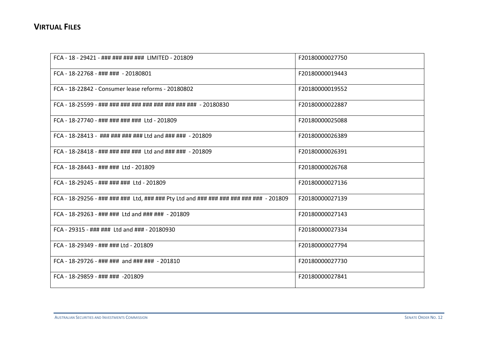| FCA - 18 - 29421 - ### ### ### ### LIMITED - 201809                                | F20180000027750 |
|------------------------------------------------------------------------------------|-----------------|
| FCA - 18-22768 - ### ### - 20180801                                                | F20180000019443 |
| FCA - 18-22842 - Consumer lease reforms - 20180802                                 | F20180000019552 |
| FCA - 18-25599 - ### ### ### ### ### ### ### ### + 20180830                        | F20180000022887 |
| FCA - 18-27740 - ### ### ### ### Ltd - 201809                                      | F20180000025088 |
| FCA - 18-28413 - ### ### ### ### Ltd and ### ### - 201809                          | F20180000026389 |
| FCA - 18-28418 - ### ### ### ### Ltd and ### ### - 201809                          | F20180000026391 |
| FCA - 18-28443 - ### ### Ltd - 201809                                              | F20180000026768 |
| FCA - 18-29245 - ### ### ### Ltd - 201809                                          | F20180000027136 |
| FCA - 18-29256 - ### ### ### Ltd, ### ### Pty Ltd and ### ### ### ### ### - 201809 | F20180000027139 |
| FCA - 18-29263 - ### ### Ltd and ### ### - 201809                                  | F20180000027143 |
| FCA - 29315 - ### ### Ltd and ### - 20180930                                       | F20180000027334 |
| FCA - 18-29349 - ### ### Ltd - 201809                                              | F20180000027794 |
| FCA - 18-29726 - ### ### and ### ### - 201810                                      | F20180000027730 |
| FCA - 18-29859 - ### ### -201809                                                   | F20180000027841 |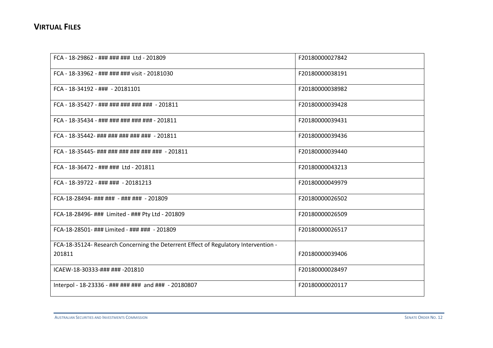| FCA - 18-29862 - ### ### ### Ltd - 201809                                           | F20180000027842 |
|-------------------------------------------------------------------------------------|-----------------|
| FCA - 18-33962 - ### ### ### visit - 20181030                                       | F20180000038191 |
| FCA - 18-34192 - ### - 20181101                                                     | F20180000038982 |
| FCA - 18-35427 - ### ### ### ### ### - 201811                                       | F20180000039428 |
| FCA - 18-35434 - ### ### ### ### ### - 201811                                       | F20180000039431 |
| FCA - 18-35442- ### ### ### ### ### - 201811                                        | F20180000039436 |
| FCA - 18-35445- ### ### ### ### ### ### - 201811                                    | F20180000039440 |
| FCA - 18-36472 - ### ### Ltd - 201811                                               | F20180000043213 |
| FCA - 18-39722 - ### ### - 20181213                                                 | F20180000049979 |
| FCA-18-28494- ### ### - ### ### - 201809                                            | F20180000026502 |
| FCA-18-28496- ### Limited - ### Pty Ltd - 201809                                    | F20180000026509 |
| FCA-18-28501- ### Limited - ### ### - 201809                                        | F20180000026517 |
| FCA-18-35124- Research Concerning the Deterrent Effect of Regulatory Intervention - |                 |
| 201811                                                                              | F20180000039406 |
| ICAEW-18-30333-### ### -201810                                                      | F20180000028497 |
| Interpol - 18-23336 - ### ### ### and ### - 20180807                                | F20180000020117 |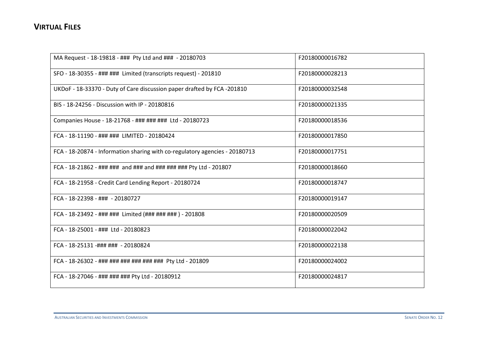| MA Request - 18-19818 - ### Pty Ltd and ### - 20180703                      | F20180000016782 |
|-----------------------------------------------------------------------------|-----------------|
| SFO - 18-30355 - ### ### Limited (transcripts request) - 201810             | F20180000028213 |
| UKDoF - 18-33370 - Duty of Care discussion paper drafted by FCA -201810     | F20180000032548 |
| BIS - 18-24256 - Discussion with IP - 20180816                              | F20180000021335 |
| Companies House - 18-21768 - ### ### ### Ltd - 20180723                     | F20180000018536 |
| FCA - 18-11190 - ### ### LIMITED - 20180424                                 | F20180000017850 |
| FCA - 18-20874 - Information sharing with co-regulatory agencies - 20180713 | F20180000017751 |
| FCA - 18-21862 - ### ### and ### and ### ### ### Pty Ltd - 201807           | F20180000018660 |
| FCA - 18-21958 - Credit Card Lending Report - 20180724                      | F20180000018747 |
| FCA - 18-22398 - ### - 20180727                                             | F20180000019147 |
| FCA - 18-23492 - ### ### Limited (### ### ### ) - 201808                    | F20180000020509 |
| FCA - 18-25001 - ### Ltd - 20180823                                         | F20180000022042 |
| FCA - 18-25131 -### ### - 20180824                                          | F20180000022138 |
| FCA - 18-26302 - ### ### ### ### ### ### Pty Ltd - 201809                   | F20180000024002 |
| FCA - 18-27046 - ### ### ### Pty Ltd - 20180912                             | F20180000024817 |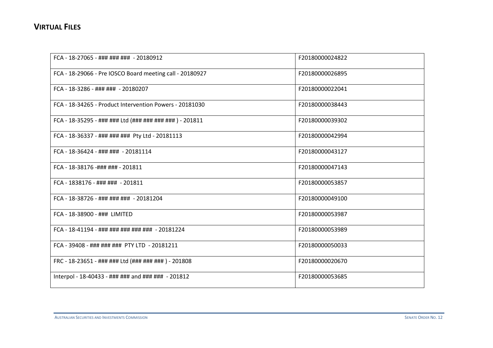| FCA - 18-27065 - ### ### ### - 20180912                  | F20180000024822 |
|----------------------------------------------------------|-----------------|
| FCA - 18-29066 - Pre IOSCO Board meeting call - 20180927 | F20180000026895 |
| FCA - 18-3286 - ### ### - 20180207                       | F20180000022041 |
| FCA - 18-34265 - Product Intervention Powers - 20181030  | F20180000038443 |
| FCA - 18-35295 - ### ### Ltd (### ### ### ### ) - 201811 | F20180000039302 |
| FCA - 18-36337 - ### ### ### Pty Ltd - 20181113          | F20180000042994 |
| FCA - 18-36424 - ### ### - 20181114                      | F20180000043127 |
| FCA - 18-38176 -### ### - 201811                         | F20180000047143 |
| FCA - 1838176 - ### ### - 201811                         | F20180000053857 |
| FCA - 18-38726 - ### ### ### - 20181204                  | F20180000049100 |
| FCA - 18-38900 - ### LIMITED                             | F20180000053987 |
| FCA - 18-41194 - ### ### ### ### ### - 20181224          | F20180000053989 |
| FCA - 39408 - ### ### ### PTY LTD - 20181211             | F20180000050033 |
| FRC - 18-23651 - ### ### Ltd (### ### ### ) - 201808     | F20180000020670 |
| Interpol - 18-40433 - ### ### and ### ### - 201812       | F20180000053685 |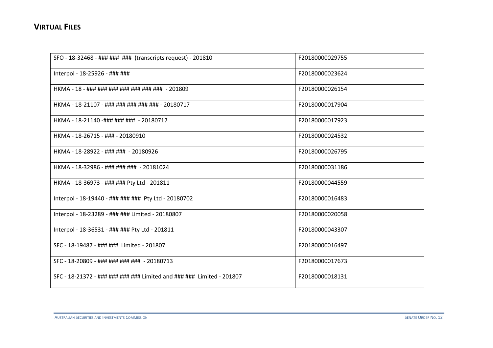| SFO - 18-32468 - ### ### ### (transcripts request) - 201810           | F20180000029755 |
|-----------------------------------------------------------------------|-----------------|
| Interpol - 18-25926 - ### ###                                         | F20180000023624 |
| HKMA - 18 - ### ### ### ### ### ### ### - 201809                      | F20180000026154 |
| HKMA - 18-21107 - ### ### ### ### ### - 20180717                      | F20180000017904 |
| HKMA - 18-21140 -### ### ### - 20180717                               | F20180000017923 |
| HKMA - 18-26715 - ### - 20180910                                      | F20180000024532 |
| HKMA - 18-28922 - ### ### - 20180926                                  | F20180000026795 |
| HKMA - 18-32986 - ### ### ### - 20181024                              | F20180000031186 |
| HKMA - 18-36973 - ### ### Pty Ltd - 201811                            | F20180000044559 |
| Interpol - 18-19440 - ### ### ### Pty Ltd - 20180702                  | F20180000016483 |
| Interpol - 18-23289 - ### ### Limited - 20180807                      | F20180000020058 |
| Interpol - 18-36531 - ### ### Pty Ltd - 201811                        | F20180000043307 |
| SFC - 18-19487 - ### ### Limited - 201807                             | F20180000016497 |
| SFC - 18-20809 - ### ### ### ### - 20180713                           | F20180000017673 |
| SFC - 18-21372 - ### ### ### ### Limited and ### ### Limited - 201807 | F20180000018131 |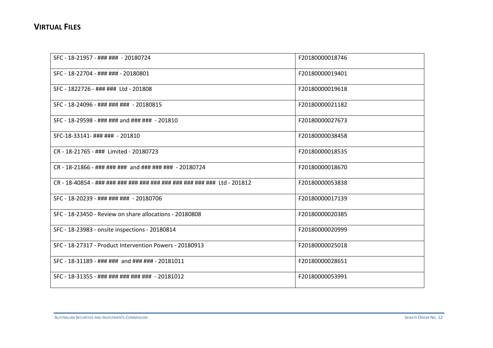| SFC - 18-21957 - ### ### - 20180724                     | F20180000018746 |
|---------------------------------------------------------|-----------------|
| SFC - 18-22704 - ### ### - 20180801                     | F20180000019401 |
| SFC - 1822726 - ### ### Ltd - 201808                    | F20180000019618 |
| SFC - 18-24096 - ### ### ### - 20180815                 | F20180000021182 |
| SFC - 18-29598 - ### ### and ### ### - 201810           | F20180000027673 |
| SFC-18-33141- ### ### - 201810                          | F20180000038458 |
| CR - 18-21765 - ### Limited - 20180723                  | F20180000018535 |
| CR - 18-21866 - ### ### ### and ### ### ### - 20180724  | F20180000018670 |
|                                                         | F20180000053838 |
| SFC - 18-20239 - ### ### ### - 20180706                 | F20180000017139 |
| SFC - 18-23450 - Review on share allocations - 20180808 | F20180000020385 |
| SFC - 18-23983 - onsite inspections - 20180814          | F20180000020999 |
| SFC - 18-27317 - Product Intervention Powers - 20180913 | F20180000025018 |
| SFC - 18-31189 - ### ### and ### ### - 20181011         | F20180000028651 |
| SFC - 18-31355 - ### ### ### ### ### - 20181012         | F20180000053991 |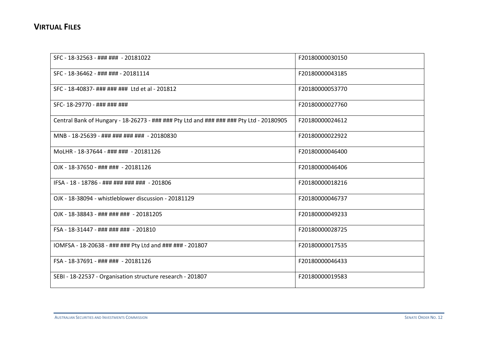| SFC - 18-32563 - ### ### - 20181022                                                     | F20180000030150 |
|-----------------------------------------------------------------------------------------|-----------------|
| SFC - 18-36462 - ### ### - 20181114                                                     | F20180000043185 |
| SFC - 18-40837- ### ### ### Ltd et al - 201812                                          | F20180000053770 |
| SFC-18-29770 - ### ### ###                                                              | F20180000027760 |
| Central Bank of Hungary - 18-26273 - ### ### Pty Ltd and ### ### ### Pty Ltd - 20180905 | F20180000024612 |
| MNB - 18-25639 - ### ### ### ### - 20180830                                             | F20180000022922 |
| MoLHR - 18-37644 - ### ### - 20181126                                                   | F20180000046400 |
| OJK - 18-37650 - ### ### - 20181126                                                     | F20180000046406 |
| IFSA - 18 - 18786 - ### ### ### ### - 201806                                            | F20180000018216 |
| OJK - 18-38094 - whistleblower discussion - 20181129                                    | F20180000046737 |
| OJK - 18-38843 - ### ### ### - 20181205                                                 | F20180000049233 |
| FSA - 18-31447 - ### ### ### - 201810                                                   | F20180000028725 |
| IOMFSA - 18-20638 - ### ### Pty Ltd and ### ### - 201807                                | F20180000017535 |
| FSA - 18-37691 - ### ### - 20181126                                                     | F20180000046433 |
| SEBI - 18-22537 - Organisation structure research - 201807                              | F20180000019583 |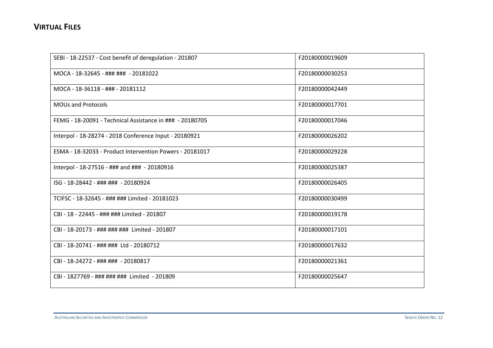| SEBI - 18-22537 - Cost benefit of deregulation - 201807  | F20180000019609 |
|----------------------------------------------------------|-----------------|
| MOCA - 18-32645 - ### ### - 20181022                     | F20180000030253 |
| MOCA - 18-36118 - ### - 20181112                         | F20180000042449 |
| <b>MOUs and Protocols</b>                                | F20180000017701 |
| FEMG - 18-20091 - Technical Assistance in ### - 20180705 | F20180000017046 |
| Interpol - 18-28274 - 2018 Conference Input - 20180921   | F20180000026202 |
| ESMA - 18-32033 - Product Intervention Powers - 20181017 | F20180000029228 |
| Interpol - 18-27516 - ### and ### - 20180916             | F20180000025387 |
| ISG - 18-28442 - ### ### - 20180924                      | F20180000026405 |
| TCIFSC - 18-32645 - ### ### Limited - 20181023           | F20180000030499 |
| CBI - 18 - 22445 - ### ### Limited - 201807              | F20180000019178 |
| CBI - 18-20173 - ### ### ### Limited - 201807            | F20180000017101 |
| CBI - 18-20741 - ### ### Ltd - 20180712                  | F20180000017632 |
| CBI - 18-24272 - ### ### - 20180817                      | F20180000021361 |
| CBI - 1827769 - ### ### ### Limited - 201809             | F20180000025647 |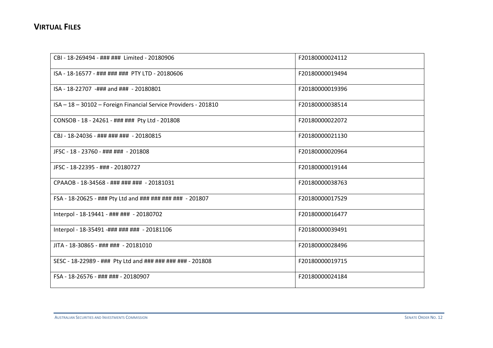| CBI - 18-269494 - ### ### Limited - 20180906                    | F20180000024112 |
|-----------------------------------------------------------------|-----------------|
| ISA - 18-16577 - ### ### ### PTY LTD - 20180606                 | F20180000019494 |
| ISA - 18-22707 -### and ### - 20180801                          | F20180000019396 |
| ISA - 18 - 30102 - Foreign Financial Service Providers - 201810 | F20180000038514 |
| CONSOB - 18 - 24261 - ### ### Pty Ltd - 201808                  | F20180000022072 |
| CBJ - 18-24036 - ### ### ### - 20180815                         | F20180000021130 |
| JFSC - 18 - 23760 - ### ### - 201808                            | F20180000020964 |
| JFSC - 18-22395 - ### - 20180727                                | F20180000019144 |
| CPAAOB - 18-34568 - ### ### ### - 20181031                      | F20180000038763 |
| FSA - 18-20625 - ### Pty Ltd and ### ### ### ### - 201807       | F20180000017529 |
| Interpol - 18-19441 - ### ### - 20180702                        | F20180000016477 |
| Interpol - 18-35491 -### ### ### - 20181106                     | F20180000039491 |
| JITA - 18-30865 - ### ### - 20181010                            | F20180000028496 |
| SESC - 18-22989 - ### Pty Ltd and ### ### ### ### - 201808      | F20180000019715 |
| FSA - 18-26576 - ### ### - 20180907                             | F20180000024184 |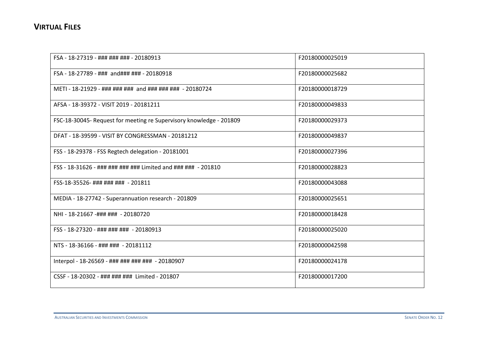| FSA - 18-27319 - ### ### ### - 20180913                             | F20180000025019 |
|---------------------------------------------------------------------|-----------------|
| FSA - 18-27789 - ### and### ### - 20180918                          | F20180000025682 |
| METI - 18-21929 - ### ### ### and ### ### ### - 20180724            | F20180000018729 |
| AFSA - 18-39372 - VISIT 2019 - 20181211                             | F20180000049833 |
| FSC-18-30045- Request for meeting re Supervisory knowledge - 201809 | F20180000029373 |
| DFAT - 18-39599 - VISIT BY CONGRESSMAN - 20181212                   | F20180000049837 |
| FSS - 18-29378 - FSS Regtech delegation - 20181001                  | F20180000027396 |
| FSS - 18-31626 - ### ### ### ### Limited and ### ### - 201810       | F20180000028823 |
| FSS-18-35526- ### ### ### - 201811                                  | F20180000043088 |
| MEDIA - 18-27742 - Superannuation research - 201809                 | F20180000025651 |
| NHI - 18-21667 -### ### - 20180720                                  | F20180000018428 |
| FSS - 18-27320 - ### ### ### - 20180913                             | F20180000025020 |
| NTS - 18-36166 - ### ### - 20181112                                 | F20180000042598 |
| Interpol - 18-26569 - ### ### ### ### - 20180907                    | F20180000024178 |
| CSSF - 18-20302 - ### ### ### Limited - 201807                      | F20180000017200 |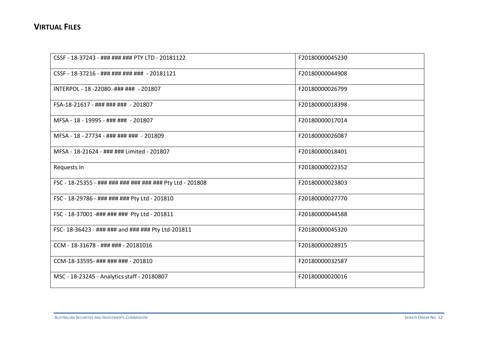| CSSF - 18-37243 - ### ### ### PTY LTD - 20181122          | F20180000045230 |
|-----------------------------------------------------------|-----------------|
| CSSF - 18-37216 - ### ### ### ### - 20181121              | F20180000044908 |
| INTERPOL - 18 -22080 -### ### - 201807                    | F20180000026799 |
| FSA-18-21617 - ### ### ### - 201807                       | F20180000018398 |
| MFSA - 18 - 19995 - ### ### - 201807                      | F20180000017014 |
| MFSA - 18 - 27734 - ### ### ### - 201809                  | F20180000026087 |
| MFSA - 18-21624 - ### ### Limited - 201807                | F20180000018401 |
| Requests In                                               | F20180000022352 |
| FSC - 18-25355 - ### ### ### ### ### ### Pty Ltd - 201808 | F20180000023803 |
| FSC - 18-29786 - ### ### ### Pty Ltd - 201810             | F20180000027770 |
| FSC - 18-37001 -### ### ### Pty Ltd - 201811              | F20180000044588 |
| FSC-18-36423 - ### ### and ### ### Pty Ltd-201811         | F20180000045320 |
| CCM - 18-31678 - ### ### - 20181016                       | F20180000028915 |
| CCM-18-33595- ### ### ### - 201810                        | F20180000032587 |
| MSC - 18-23245 - Analytics staff - 20180807               | F20180000020016 |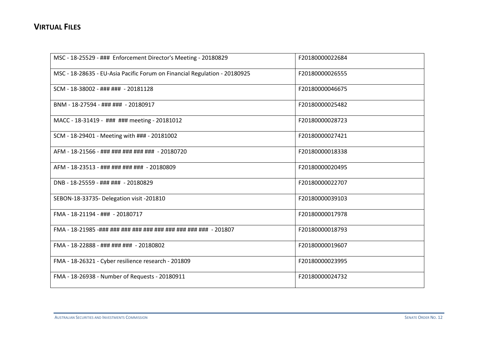| MSC - 18-25529 - ### Enforcement Director's Meeting - 20180829            | F20180000022684 |
|---------------------------------------------------------------------------|-----------------|
| MSC - 18-28635 - EU-Asia Pacific Forum on Financial Regulation - 20180925 | F20180000026555 |
| SCM - 18-38002 - ### ### - 20181128                                       | F20180000046675 |
| BNM - 18-27594 - ### ### - 20180917                                       | F20180000025482 |
| MACC - 18-31419 - ### ### meeting - 20181012                              | F20180000028723 |
| SCM - 18-29401 - Meeting with ### - 20181002                              | F20180000027421 |
| AFM - 18-21566 - ### ### ### ### ### - 20180720                           | F20180000018338 |
| AFM - 18-23513 - ### ### ### ### - 20180809                               | F20180000020495 |
| DNB - 18-25559 - ### ### - 20180829                                       | F20180000022707 |
| SEBON-18-33735- Delegation visit -201810                                  | F20180000039103 |
| FMA - 18-21194 - ### - 20180717                                           | F20180000017978 |
| FMA - 18-21985 -### ### ### ### ### ### ### ### ### + 201807              | F20180000018793 |
| FMA - 18-22888 - ### ### ### - 20180802                                   | F20180000019607 |
| FMA - 18-26321 - Cyber resilience research - 201809                       | F20180000023995 |
| FMA - 18-26938 - Number of Requests - 20180911                            | F20180000024732 |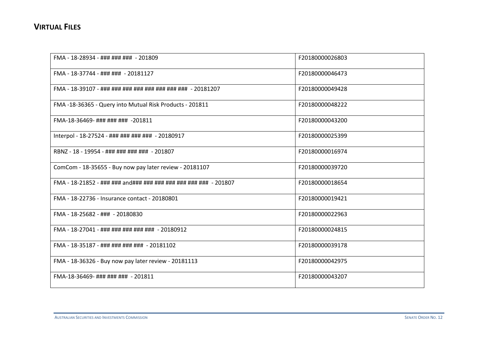| FMA - 18-28934 - ### ### ### - 201809                        | F20180000026803 |
|--------------------------------------------------------------|-----------------|
| FMA - 18-37744 - ### ### - 20181127                          | F20180000046473 |
| FMA - 18-39107 - ### ### ### ### ### ### ### ### - 20181207  | F20180000049428 |
| FMA -18-36365 - Query into Mutual Risk Products - 201811     | F20180000048222 |
| FMA-18-36469-########## -201811                              | F20180000043200 |
| Interpol - 18-27524 - ### ### ### ### - 20180917             | F20180000025399 |
| RBNZ - 18 - 19954 - ### ### ### ### - 201807                 | F20180000016974 |
| ComCom - 18-35655 - Buy now pay later review - 20181107      | F20180000039720 |
| FMA - 18-21852 - ### ### and### ### ### ### ### ### + 201807 | F20180000018654 |
| FMA - 18-22736 - Insurance contact - 20180801                | F20180000019421 |
| FMA - 18-25682 - ### - 20180830                              | F20180000022963 |
| FMA - 18-27041 - ### ### ### ### ### - 20180912              | F20180000024815 |
| FMA - 18-35187 - ### ### ### ### - 20181102                  | F20180000039178 |
| FMA - 18-36326 - Buy now pay later review - 20181113         | F20180000042975 |
| FMA-18-36469- ### ### ### - 201811                           | F20180000043207 |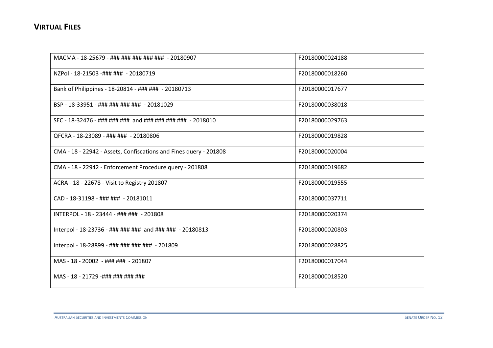| MACMA - 18-25679 - ### ### ### ### ### - 20180907                 | F20180000024188 |
|-------------------------------------------------------------------|-----------------|
| NZPol - 18-21503 -### ### - 20180719                              | F20180000018260 |
| Bank of Philippines - 18-20814 - ### ### - 20180713               | F20180000017677 |
| BSP - 18-33951 - ### ### ### ### - 20181029                       | F20180000038018 |
| SEC - 18-32476 - ### ### ### and ### ### ### ### - 2018010        | F20180000029763 |
| QFCRA - 18-23089 - ### ### - 20180806                             | F20180000019828 |
| CMA - 18 - 22942 - Assets, Confiscations and Fines query - 201808 | F20180000020004 |
| CMA - 18 - 22942 - Enforcement Procedure query - 201808           | F20180000019682 |
| ACRA - 18 - 22678 - Visit to Registry 201807                      | F20180000019555 |
| CAD - 18-31198 - ### ### - 20181011                               | F20180000037711 |
| INTERPOL - 18 - 23444 - ### ### - 201808                          | F20180000020374 |
| Interpol - 18-23736 - ### ### ### and ### ### - 20180813          | F20180000020803 |
| Interpol - 18-28899 - ### ### ### ### - 201809                    | F20180000028825 |
| MAS - 18 - 20002 - ### ### - 201807                               | F20180000017044 |
| MAS - 18 - 21729 -### ### ### ###                                 | F20180000018520 |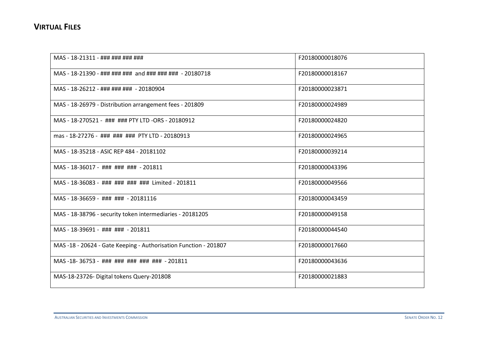| MAS - 18-21311 - ### ### ### ###                                 | F20180000018076 |
|------------------------------------------------------------------|-----------------|
| MAS - 18-21390 - ### ### ### and ### ### ### - 20180718          | F20180000018167 |
| MAS - 18-26212 - ### ### ### - 20180904                          | F20180000023871 |
| MAS - 18-26979 - Distribution arrangement fees - 201809          | F20180000024989 |
| MAS - 18-270521 - ### ### PTY LTD -ORS - 20180912                | F20180000024820 |
| mas - 18-27276 - ### ### ### PTY LTD - 20180913                  | F20180000024965 |
| MAS - 18-35218 - ASIC REP 484 - 20181102                         | F20180000039214 |
| MAS - 18-36017 - ### ### ### - 201811                            | F20180000043396 |
| MAS - 18-36083 - ### ### ### ### Limited - 201811                | F20180000049566 |
| MAS - 18-36659 - ### ### - 20181116                              | F20180000043459 |
| MAS - 18-38796 - security token intermediaries - 20181205        | F20180000049158 |
| MAS - 18-39691 - ### ### - 201811                                | F20180000044540 |
| MAS -18 - 20624 - Gate Keeping - Authorisation Function - 201807 | F20180000017660 |
| MAS-18-36753 - ### ### ### ### ### - 201811                      | F20180000043636 |
| MAS-18-23726- Digital tokens Query-201808                        | F20180000021883 |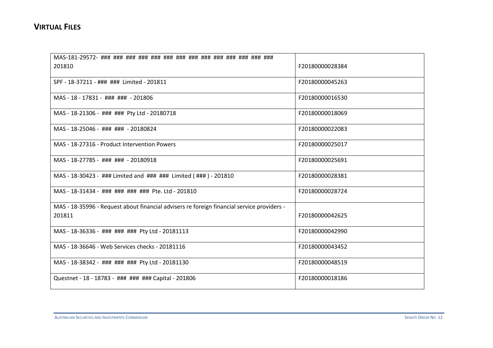| 201810                                                                                     | F20180000028384 |
|--------------------------------------------------------------------------------------------|-----------------|
| SPF - 18-37211 - ### ### Limited - 201811                                                  | F20180000045263 |
| MAS - 18 - 17831 - ### ### - 201806                                                        | F20180000016530 |
| MAS - 18-21306 - ### ### Pty Ltd - 20180718                                                | F20180000018069 |
| MAS - 18-25046 - ### ### - 20180824                                                        | F20180000022083 |
| MAS - 18-27316 - Product Intervention Powers                                               | F20180000025017 |
| MAS - 18-27785 - ### ### - 20180918                                                        | F20180000025691 |
| MAS - 18-30423 - ### Limited and ### ### Limited (###) - 201810                            | F20180000028381 |
| MAS - 18-31434 - ### ### ### ### Pte. Ltd - 201810                                         | F20180000028724 |
| MAS - 18-35996 - Request about financial advisers re foreign financial service providers - |                 |
| 201811                                                                                     | F20180000042625 |
| MAS - 18-36336 - ### ### ### Pty Ltd - 20181113                                            | F20180000042990 |
| MAS - 18-36646 - Web Services checks - 20181116                                            | F20180000043452 |
| MAS - 18-38342 - ### ### ### Pty Ltd - 20181130                                            | F20180000048519 |
| Questnet - 18 - 18783 - ### ### ### Capital - 201806                                       | F20180000018186 |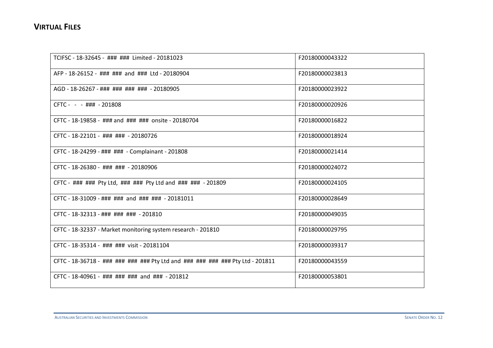| TCIFSC - 18-32645 - ### ### Limited - 20181023                                 | F20180000043322 |
|--------------------------------------------------------------------------------|-----------------|
| AFP - 18-26152 - ### ### and ### Ltd - 20180904                                | F20180000023813 |
| AGD - 18-26267 - ### ### ### ### - 20180905                                    | F20180000023922 |
| CFTC - - - ### - 201808                                                        | F20180000020926 |
| CFTC - 18-19858 - ### and ### ### onsite - 20180704                            | F20180000016822 |
| CFTC - 18-22101 - ### ### - 20180726                                           | F20180000018924 |
| CFTC - 18-24299 - ### ### - Complainant - 201808                               | F20180000021414 |
| CFTC - 18-26380 - ### ### - 20180906                                           | F20180000024072 |
| CFTC - ### ### Pty Ltd, ### ### Pty Ltd and ### ### - 201809                   | F20180000024105 |
| CFTC - 18-31009 - ### ### and ### ### - 20181011                               | F20180000028649 |
| CFTC - 18-32313 - ### ### ### - 201810                                         | F20180000049035 |
| CFTC - 18-32337 - Market monitoring system research - 201810                   | F20180000029795 |
| CFTC - 18-35314 - ### ### visit - 20181104                                     | F20180000039317 |
| CFTC - 18-36718 - ### ### ### ### Pty Ltd and ### ### ### ### Pty Ltd - 201811 | F20180000043559 |
| CFTC - 18-40961 - ### ### ### and ### - 201812                                 | F20180000053801 |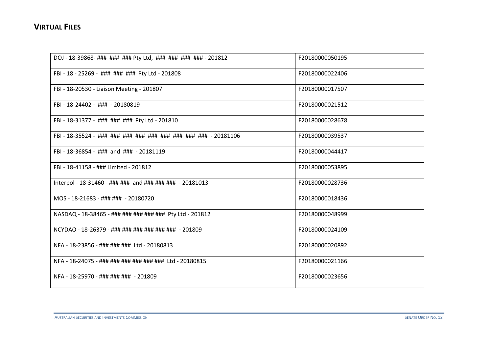| DOJ - 18-39868- ### ### ### Pty Ltd, ### ### ### ### - 201812 | F20180000050195 |
|---------------------------------------------------------------|-----------------|
| FBI - 18 - 25269 - ### ### ### Pty Ltd - 201808               | F20180000022406 |
| FBI - 18-20530 - Liaison Meeting - 201807                     | F20180000017507 |
| FBI - 18-24402 - ### - 20180819                               | F20180000021512 |
| FBI - 18-31377 - ### ### ### Pty Ltd - 201810                 | F20180000028678 |
|                                                               | F20180000039537 |
| FBI - 18-36854 - ### and ### - 20181119                       | F20180000044417 |
| FBI - 18-41158 - ### Limited - 201812                         | F20180000053895 |
| Interpol - 18-31460 - ### ### and ### ### ### - 20181013      | F20180000028736 |
| MOS - 18-21683 - ### ### - 20180720                           | F20180000018436 |
| NASDAQ - 18-38465 - ### ### ### ### ### Pty Ltd - 201812      | F20180000048999 |
| NCYDAO - 18-26379 - ### ### ### ### ### ### - 201809          | F20180000024109 |
| NFA - 18-23856 - ### ### ### Ltd - 20180813                   | F20180000020892 |
| NFA - 18-24075 - ### ### ### ### ### ### Ltd - 20180815       | F20180000021166 |
| NFA - 18-25970 - ### ### ### - 201809                         | F20180000023656 |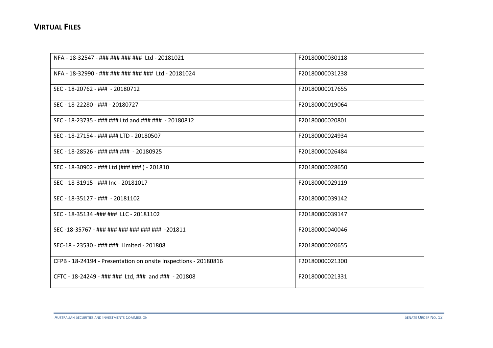| NFA - 18-32547 - ### ### ### ### Ltd - 20181021                 | F20180000030118 |
|-----------------------------------------------------------------|-----------------|
| NFA - 18-32990 - ### ### ### ### ### Ltd - 20181024             | F20180000031238 |
| SEC - 18-20762 - ### - 20180712                                 | F20180000017655 |
| SEC - 18-22280 - ### - 20180727                                 | F20180000019064 |
| SEC - 18-23735 - ### ### Ltd and ### ### - 20180812             | F20180000020801 |
| SEC - 18-27154 - ### ### LTD - 20180507                         | F20180000024934 |
| SEC - 18-28526 - ### ### ### - 20180925                         | F20180000026484 |
| SEC - 18-30902 - ### Ltd (### ### ) - 201810                    | F20180000028650 |
| SEC - 18-31915 - ### Inc - 20181017                             | F20180000029119 |
| SEC - 18-35127 - ### - 20181102                                 | F20180000039142 |
| SEC - 18-35134 -### ### LLC - 20181102                          | F20180000039147 |
| SEC-18-35767 - ### ### ### ### ### ### -201811                  | F20180000040046 |
| SEC-18 - 23530 - ### ### Limited - 201808                       | F20180000020655 |
| CFPB - 18-24194 - Presentation on onsite inspections - 20180816 | F20180000021300 |
| CFTC - 18-24249 - ### ### Ltd, ### and ### - 201808             | F20180000021331 |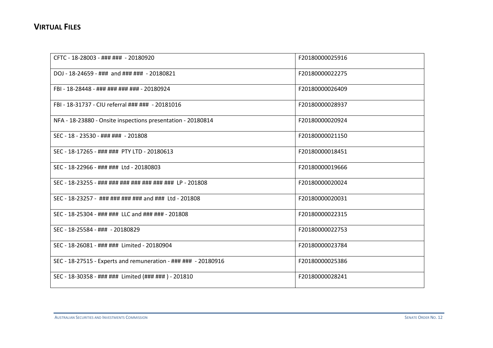| CFTC - 18-28003 - ### ### - 20180920                           | F20180000025916 |
|----------------------------------------------------------------|-----------------|
| DOJ - 18-24659 - ### and ### ### - 20180821                    | F20180000022275 |
| FBI - 18-28448 - ### ### ### ### - 20180924                    | F20180000026409 |
| FBI - 18-31737 - CIU referral ### ### - 20181016               | F20180000028937 |
| NFA - 18-23880 - Onsite inspections presentation - 20180814    | F20180000020924 |
| SEC - 18 - 23530 - ### ### - 201808                            | F20180000021150 |
| SEC - 18-17265 - ### ### PTY LTD - 20180613                    | F20180000018451 |
| SEC - 18-22966 - ### ### Ltd - 20180803                        | F20180000019666 |
| SEC - 18-23255 - ### ### ### ### ### ### ### LP - 201808       | F20180000020024 |
| SEC - 18-23257 - ### ### ### ### and ### Ltd - 201808          | F20180000020031 |
| SEC - 18-25304 - ### ### LLC and ### ### - 201808              | F20180000022315 |
| SEC - 18-25584 - ### - 20180829                                | F20180000022753 |
| SEC - 18-26081 - ### ### Limited - 20180904                    | F20180000023784 |
| SEC - 18-27515 - Experts and remuneration - ### ### - 20180916 | F20180000025386 |
| SEC - 18-30358 - ### ### Limited (### ### ) - 201810           | F20180000028241 |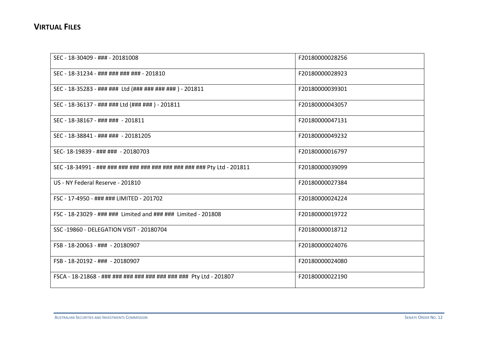| SEC - 18-30409 - ### - 20181008                                    | F20180000028256 |
|--------------------------------------------------------------------|-----------------|
| SEC - 18-31234 - ### ### ### ### - 201810                          | F20180000028923 |
| SEC - 18-35283 - ### ### Ltd (### ### ### ### ) - 201811           | F20180000039301 |
| SEC - 18-36137 - ### ### Ltd (### ###) - 201811                    | F20180000043057 |
| SEC - 18-38167 - ### ### - 201811                                  | F20180000047131 |
| SEC - 18-38841 - ### ### - 20181205                                | F20180000049232 |
| SEC-18-19839 - ### ### - 20180703                                  | F20180000016797 |
|                                                                    | F20180000039099 |
| US - NY Federal Reserve - 201810                                   | F20180000027384 |
| FSC - 17-4950 - ### ### LIMITED - 201702                           | F20180000024224 |
| FSC - 18-23029 - ### ### Limited and ### ### Limited - 201808      | F20180000019722 |
| SSC-19860 - DELEGATION VISIT - 20180704                            | F20180000018712 |
| FSB - 18-20063 - ### - 20180907                                    | F20180000024076 |
| FSB - 18-20192 - ### - 20180907                                    | F20180000024080 |
| FSCA - 18-21868 - ### ### ### ### ### ### ### ### Pty Ltd - 201807 | F20180000022190 |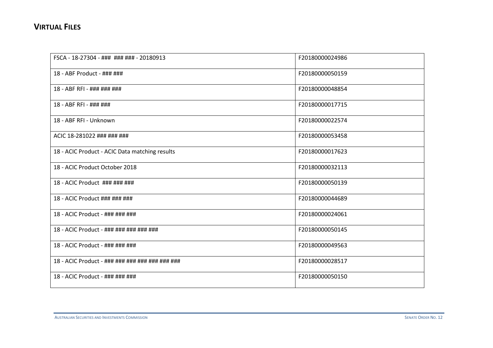| FSCA - 18-27304 - ### ### ### - 20180913        | F20180000024986 |
|-------------------------------------------------|-----------------|
| 18 - ABF Product - ### ###                      | F20180000050159 |
| 18 - ABF RFI - ### ### ###                      | F20180000048854 |
| 18 - ABF RFI - ### ###                          | F20180000017715 |
| 18 - ABF RFI - Unknown                          | F20180000022574 |
| ACIC 18-281022 ### ### ###                      | F20180000053458 |
| 18 - ACIC Product - ACIC Data matching results  | F20180000017623 |
| 18 - ACIC Product October 2018                  | F20180000032113 |
| 18 - ACIC Product ### ### ###                   | F20180000050139 |
| 18 - ACIC Product ### ### ###                   | F20180000044689 |
| 18 - ACIC Product - ### ### ###                 | F20180000024061 |
| 18 - ACIC Product - ### ### ### ### ###         | F20180000050145 |
| 18 - ACIC Product - ### ### ###                 | F20180000049563 |
| 18 - ACIC Product - ### ### ### ### ### ### ### | F20180000028517 |
| 18 - ACIC Product - ### ### ###                 | F20180000050150 |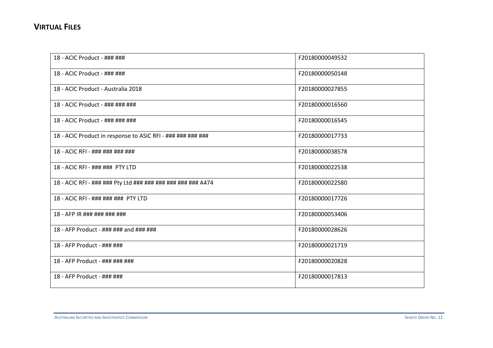| 18 - ACIC Product - ### ###                                 | F20180000049532 |
|-------------------------------------------------------------|-----------------|
| 18 - ACIC Product - ### ###                                 | F20180000050148 |
| 18 - ACIC Product - Australia 2018                          | F20180000027855 |
| 18 - ACIC Product - ### ### ###                             | F20180000016560 |
| 18 - ACIC Product - ### ### ###                             | F20180000016545 |
| 18 - ACIC Product in response to ASIC RFI - ### ### ### ### | F20180000017733 |
| 18 - ACIC RFI - ### ### ### ###                             | F20180000038578 |
| 18 - ACIC RFI - ### ### PTY LTD                             | F20180000022538 |
| 18 - ACIC RFI - ### ### Pty Ltd ### ### ### ### ### #474    | F20180000022580 |
| 18 - ACIC RFI - ### ### ### PTY LTD                         | F20180000017726 |
| 18 - AFP IR ### ### ### ###                                 | F20180000053406 |
| 18 - AFP Product - ### ### and ### ###                      | F20180000028626 |
| 18 - AFP Product - ### ###                                  | F20180000021719 |
| 18 - AFP Product - ### ### ###                              | F20180000020828 |
| 18 - AFP Product - ### ###                                  | F20180000017813 |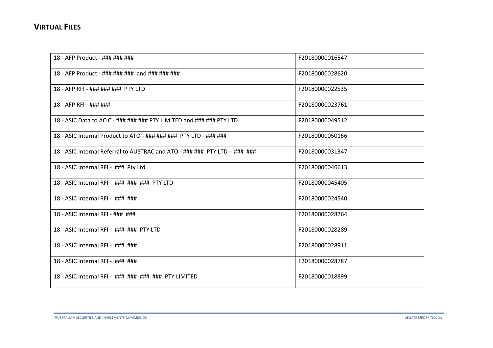| 18 - AFP Product - ### ### ###                                             | F20180000016547 |
|----------------------------------------------------------------------------|-----------------|
| 18 - AFP Product - ### ### ### and ### ### ###                             | F20180000028620 |
| 18 - AFP RFI - ### ### ### PTY LTD                                         | F20180000022535 |
| 18 - AFP RFI - ### ###                                                     | F20180000023761 |
| 18 - ASIC Data to ACIC - ### ### ### PTY LIMITED and ### ### PTY LTD       | F20180000049512 |
| 18 - ASIC Internal Product to ATO - ### ### ### PTY LTD - ### ###          | F20180000050166 |
| 18 - ASIC Internal Referral to AUSTRAC and ATO - ### ### PTY LTD - ### ### | F20180000031347 |
| 18 - ASIC Internal RFI - ### Pty Ltd                                       | F20180000046613 |
| 18 - ASIC Internal RFI - ### ### ### PTY LTD                               | F20180000045405 |
| 18 - ASIC Internal RFI - ### ###                                           | F20180000024540 |
| 18 - ASIC Internal RFI - ### ###                                           | F20180000028764 |
| 18 - ASIC Internal RFI - ### ### PTY LTD                                   | F20180000028289 |
| 18 - ASIC Internal RFI - ### ###                                           | F20180000028911 |
| 18 - ASIC Internal RFI - ### ###                                           | F20180000028787 |
| 18 - ASIC Internal RFI - ### ### ### ### PTY LIMITED                       | F20180000018899 |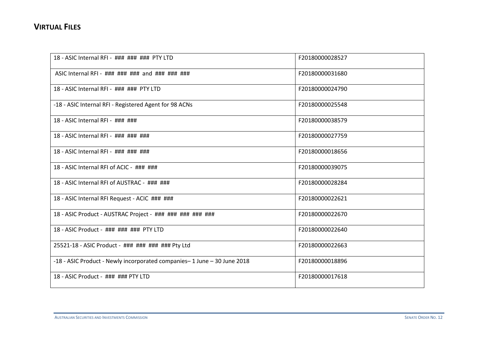| 18 - ASIC Internal RFI - ### ### ### PTY LTD                            | F20180000028527 |
|-------------------------------------------------------------------------|-----------------|
| ASIC Internal RFI - ### ### ### and ### ### ###                         | F20180000031680 |
| 18 - ASIC Internal RFI - ### ### PTY LTD                                | F20180000024790 |
| -18 - ASIC Internal RFI - Registered Agent for 98 ACNs                  | F20180000025548 |
| 18 - ASIC Internal RFI - ### ###                                        | F20180000038579 |
| 18 - ASIC Internal RFI - ### ### ###                                    | F20180000027759 |
| 18 - ASIC Internal RFI - ### ### ###                                    | F20180000018656 |
| 18 - ASIC Internal RFI of ACIC - ### ###                                | F20180000039075 |
| 18 - ASIC Internal RFI of AUSTRAC - ### ###                             | F20180000028284 |
| 18 - ASIC Internal RFI Request - ACIC ### ###                           | F20180000022621 |
| 18 - ASIC Product - AUSTRAC Project - ### ### ### ### ###               | F20180000022670 |
| 18 - ASIC Product - ### ### ### PTY LTD                                 | F20180000022640 |
| 25521-18 - ASIC Product - ### ### ### ### Pty Ltd                       | F20180000022663 |
| -18 - ASIC Product - Newly incorporated companies-1 June - 30 June 2018 | F20180000018896 |
| 18 - ASIC Product - ### ### PTY LTD                                     | F20180000017618 |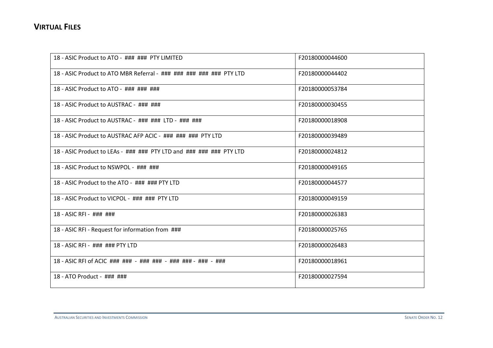| 18 - ASIC Product to ATO - ### ### PTY LIMITED                      | F20180000044600 |
|---------------------------------------------------------------------|-----------------|
| 18 - ASIC Product to ATO MBR Referral - ### ### ### ### ### PTY LTD | F20180000044402 |
| 18 - ASIC Product to ATO - ### ### ###                              | F20180000053784 |
| 18 - ASIC Product to AUSTRAC - ### ###                              | F20180000030455 |
| 18 - ASIC Product to AUSTRAC - ### ### LTD - ### ###                | F20180000018908 |
| 18 - ASIC Product to AUSTRAC AFP ACIC - ### ### ### PTY LTD         | F20180000039489 |
| 18 - ASIC Product to LEAs - ### ### PTY LTD and ### ### ### PTY LTD | F20180000024812 |
| 18 - ASIC Product to NSWPOL - ### ###                               | F20180000049165 |
| 18 - ASIC Product to the ATO - ### ### PTY LTD                      | F20180000044577 |
| 18 - ASIC Product to VICPOL - ### ### PTY LTD                       | F20180000049159 |
| 18 - ASIC RFI - ### ###                                             | F20180000026383 |
| 18 - ASIC RFI - Request for information from ###                    | F20180000025765 |
| 18 - ASIC RFI - ### ### PTY LTD                                     | F20180000026483 |
| 18 - ASIC RFI of ACIC ### ### - ### ### - ### ### - ### - ###       | F20180000018961 |
| 18 - ATO Product - ### ###                                          | F20180000027594 |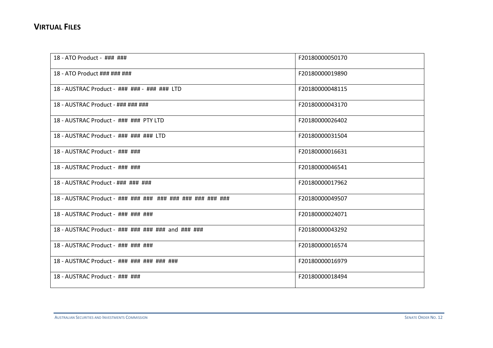| 18 - ATO Product - ### ###                             | F20180000050170 |
|--------------------------------------------------------|-----------------|
| 18 - ATO Product ### ### ###                           | F20180000019890 |
| 18 - AUSTRAC Product - ### ### - ### ### LTD           | F20180000048115 |
| 18 - AUSTRAC Product - ### ### ###                     | F20180000043170 |
| 18 - AUSTRAC Product - ### ### PTY LTD                 | F20180000026402 |
| 18 - AUSTRAC Product - ### ### ### LTD                 | F20180000031504 |
| 18 - AUSTRAC Product - ### ###                         | F20180000016631 |
| 18 - AUSTRAC Product - ### ###                         | F20180000046541 |
| 18 - AUSTRAC Product - ### ### ###                     | F20180000017962 |
| 18 - AUSTRAC Product - ### ### ### ### ### ### ### ### | F20180000049507 |
| 18 - AUSTRAC Product - ### ### ###                     | F20180000024071 |
| 18 - AUSTRAC Product - ### ### ### ### and ### ###     | F20180000043292 |
| 18 - AUSTRAC Product - ### ### ###                     | F20180000016574 |
| 18 - AUSTRAC Product - ### ### ### ### ###             | F20180000016979 |
| 18 - AUSTRAC Product - ### ###                         | F20180000018494 |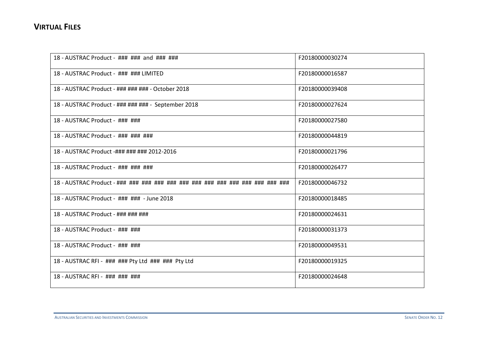| 18 - AUSTRAC Product - ### ### and ### ###          | F20180000030274 |
|-----------------------------------------------------|-----------------|
| 18 - AUSTRAC Product - ### ### LIMITED              | F20180000016587 |
| 18 - AUSTRAC Product - ### ### ### - October 2018   | F20180000039408 |
| 18 - AUSTRAC Product - ### ### ### - September 2018 | F20180000027624 |
| 18 - AUSTRAC Product - ### ###                      | F20180000027580 |
| 18 - AUSTRAC Product - ### ### ###                  | F20180000044819 |
| 18 - AUSTRAC Product -### ### ### 2012-2016         | F20180000021796 |
| 18 - AUSTRAC Product - ### ### ###                  | F20180000026477 |
|                                                     | F20180000046732 |
| 18 - AUSTRAC Product - ### ### - June 2018          | F20180000018485 |
| 18 - AUSTRAC Product - ### ### ###                  | F20180000024631 |
| 18 - AUSTRAC Product - ### ###                      | F20180000031373 |
| 18 - AUSTRAC Product - ### ###                      | F20180000049531 |
| 18 - AUSTRAC RFI - ### ### Pty Ltd ### ### Pty Ltd  | F20180000019325 |
| 18 - AUSTRAC RFI - ### ### ###                      | F20180000024648 |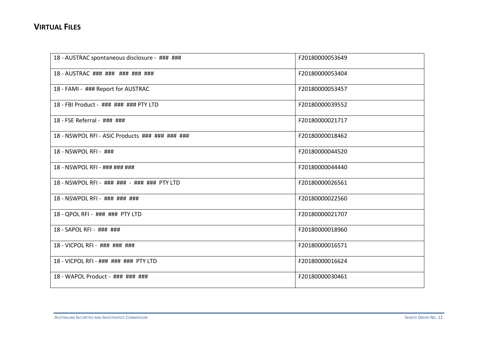| 18 - AUSTRAC spontaneous disclosure - ### ###   | F20180000053649 |
|-------------------------------------------------|-----------------|
| 18 - AUSTRAC ### ### ### ### ###                | F20180000053404 |
| 18 - FAMI - ### Report for AUSTRAC              | F20180000053457 |
| 18 - FBI Product - ### ### ### PTY LTD          | F20180000039552 |
| 18 - FSE Referral - ### ###                     | F20180000021717 |
| 18 - NSWPOL RFI - ASIC Products ### ### ### ### | F20180000018462 |
| 18 - NSWPOL RFI - ###                           | F20180000044520 |
| 18 - NSWPOL RFI - ### ### ###                   | F20180000044440 |
| 18 - NSWPOL RFI - ### ### - ### ### PTY LTD     | F20180000026561 |
| 18 - NSWPOL RFI - ### ### ###                   | F20180000022560 |
| 18 - QPOL RFI - ### ### PTY LTD                 | F20180000021707 |
| 18 - SAPOL RFI - ### ###                        | F20180000018960 |
| 18 - VICPOL RFI - ### ### ###                   | F20180000016571 |
| 18 - VICPOL RFI - ### ### ### PTY LTD           | F20180000016624 |
| 18 - WAPOL Product - ### ### ###                | F20180000030461 |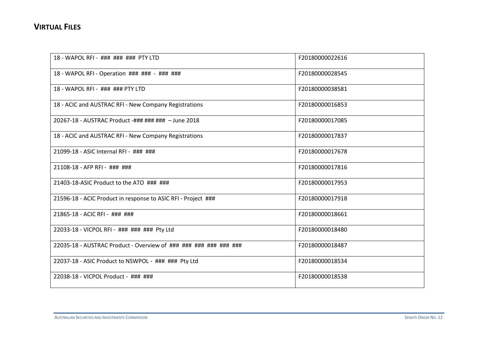| 18 - WAPOL RFI - ### ### ### PTY LTD                             | F20180000022616 |
|------------------------------------------------------------------|-----------------|
| 18 - WAPOL RFI - Operation ### ### - ### ###                     | F20180000028545 |
| 18 - WAPOL RFI - ### ### PTY LTD                                 | F20180000038581 |
| 18 - ACIC and AUSTRAC RFI - New Company Registrations            | F20180000016853 |
| 20267-18 - AUSTRAC Product -### ### ### - June 2018              | F20180000017085 |
| 18 - ACIC and AUSTRAC RFI - New Company Registrations            | F20180000017837 |
| 21099-18 - ASIC Internal RFI - ### ###                           | F20180000017678 |
| 21108-18 - AFP RFI - ### ###                                     | F20180000017816 |
| 21403-18-ASIC Product to the ATO ### ###                         | F20180000017953 |
| 21596-18 - ACIC Product in response to ASIC RFI - Project ###    | F20180000017918 |
| 21865-18 - ACIC RFI - ### ###                                    | F20180000018661 |
| 22033-18 - VICPOL RFI - ### ### ### Pty Ltd                      | F20180000018480 |
| 22035-18 - AUSTRAC Product - Overview of ### ### ### ### ### ### | F20180000018487 |
| 22037-18 - ASIC Product to NSWPOL - ### ### Pty Ltd              | F20180000018534 |
| 22038-18 - VICPOL Product - ### ###                              | F20180000018538 |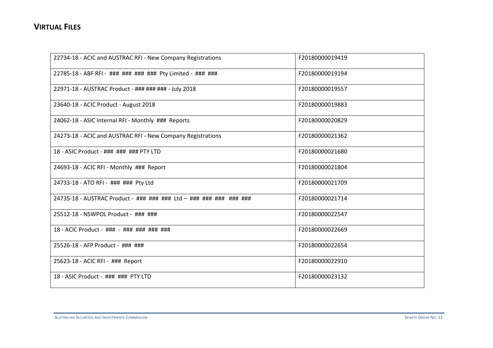| 22734-18 - ACIC and AUSTRAC RFI - New Company Registrations        | F20180000019419 |
|--------------------------------------------------------------------|-----------------|
| 22785-18 - ABF RFI - ### ### ### ### Pty Limited - ### ###         | F20180000019194 |
| 22971-18 - AUSTRAC Product - ### ### ### - July 2018               | F20180000019557 |
| 23640-18 - ACIC Product - August 2018                              | F20180000019883 |
| 24062-18 - ASIC Internal RFI - Monthly ### Reports                 | F20180000020829 |
| 24273-18 - ACIC and AUSTRAC RFI - New Company Registrations        | F20180000021362 |
| 18 - ASIC Product - ### ### ### PTY LTD                            | F20180000021680 |
| 24693-18 - ACIC RFI - Monthly ### Report                           | F20180000021804 |
| 24733-18 - ATO RFI - ### ### Pty Ltd                               | F20180000021709 |
| 24735-18 - AUSTRAC Product - ### ### ### Ltd - ### ### ### ### ### | F20180000021714 |
| 25512-18 - NSWPOL Product - ### ###                                | F20180000022547 |
| 18 - ACIC Product - ### - ### ### ### ###                          | F20180000022669 |
| 25526-18 - AFP Product - ### ###                                   | F20180000022654 |
| 25623-18 - ACIC RFI - ### Report                                   | F20180000022910 |
| 18 - ASIC Product - ### ### PTY LTD                                | F20180000023132 |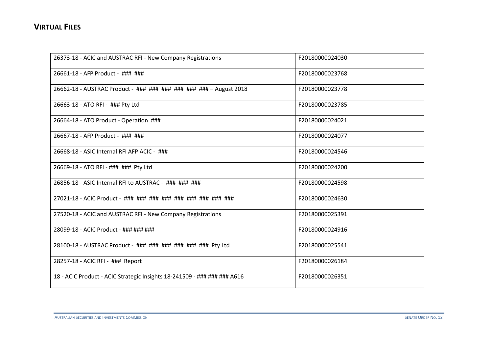| 26373-18 - ACIC and AUSTRAC RFI - New Company Registrations              | F20180000024030 |
|--------------------------------------------------------------------------|-----------------|
| 26661-18 - AFP Product - ### ###                                         | F20180000023768 |
| 26662-18 - AUSTRAC Product - ### ### ### ### ### ### - August 2018       | F20180000023778 |
| 26663-18 - ATO RFI - ### Pty Ltd                                         | F20180000023785 |
| 26664-18 - ATO Product - Operation ###                                   | F20180000024021 |
| 26667-18 - AFP Product - ### ###                                         | F20180000024077 |
| 26668-18 - ASIC Internal RFI AFP ACIC - ###                              | F20180000024546 |
| 26669-18 - ATO RFI - ### ### Pty Ltd                                     | F20180000024200 |
| 26856-18 - ASIC Internal RFI to AUSTRAC - ### ### ###                    | F20180000024598 |
| 27021-18 - ACIC Product - ### ### ### ### ### ### ### ###                | F20180000024630 |
| 27520-18 - ACIC and AUSTRAC RFI - New Company Registrations              | F20180000025391 |
| 28099-18 - ACIC Product - ### ### ###                                    | F20180000024916 |
| 28100-18 - AUSTRAC Product - ### ### ### ### ### ### Pty Ltd             | F20180000025541 |
| 28257-18 - ACIC RFI - ### Report                                         | F20180000026184 |
| 18 - ACIC Product - ACIC Strategic Insights 18-241509 - ### ### ### A616 | F20180000026351 |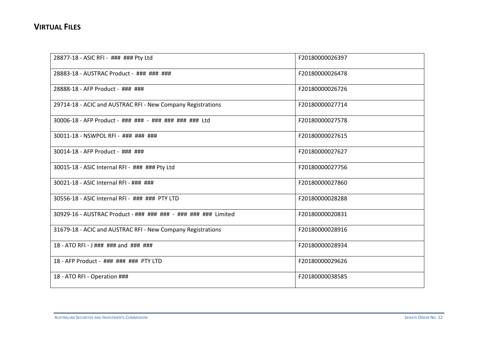| 28877-18 - ASIC RFI - ### ### Pty Ltd                          | F20180000026397 |
|----------------------------------------------------------------|-----------------|
| 28883-18 - AUSTRAC Product - ### ### ###                       | F20180000026478 |
| 28888-18 - AFP Product - ### ###                               | F20180000026726 |
| 29714-18 - ACIC and AUSTRAC RFI - New Company Registrations    | F20180000027714 |
| 30006-18 - AFP Product - ### ### - ### ### ### ### Ltd         | F20180000027578 |
| 30011-18 - NSWPOL RFI - ### ### ###                            | F20180000027615 |
| 30014-18 - AFP Product - ### ###                               | F20180000027627 |
| 30015-18 - ASIC Internal RFI - ### ### Pty Ltd                 | F20180000027756 |
| 30021-18 - ASIC Internal RFI - ### ###                         | F20180000027860 |
| 30556-18 - ASIC Internal RFI - ### ### PTY LTD                 | F20180000028288 |
| 30929-16 - AUSTRAC Product - ### ### ### - ### ### ### Limited | F20180000020831 |
| 31679-18 - ACIC and AUSTRAC RFI - New Company Registrations    | F20180000028916 |
| 18 - ATO RFI - $J$ ### ### and ### ###                         | F20180000028934 |
| 18 - AFP Product - ### ### ### PTY LTD                         | F20180000029626 |
| 18 - ATO RFI - Operation ###                                   | F20180000038585 |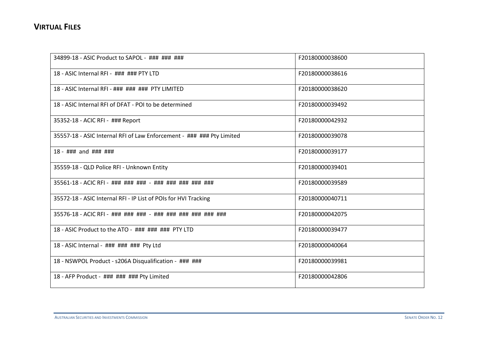| 34899-18 - ASIC Product to SAPOL - ### ### ###                        | F20180000038600 |
|-----------------------------------------------------------------------|-----------------|
| 18 - ASIC Internal RFI - ### ### PTY LTD                              | F20180000038616 |
| 18 - ASIC Internal RFI - ### ### ### PTY LIMITED                      | F20180000038620 |
| 18 - ASIC Internal RFI of DFAT - POI to be determined                 | F20180000039492 |
| 35352-18 - ACIC RFI - ### Report                                      | F20180000042932 |
| 35557-18 - ASIC Internal RFI of Law Enforcement - ### ### Pty Limited | F20180000039078 |
| 18 - ### and ### ###                                                  | F20180000039177 |
| 35559-18 - QLD Police RFI - Unknown Entity                            | F20180000039401 |
| 35561-18 - ACIC RFI - ### ### ### - ### ### ### ### ###               | F20180000039589 |
| 35572-18 - ASIC Internal RFI - IP List of POIs for HVI Tracking       | F20180000040711 |
|                                                                       | F20180000042075 |
| 18 - ASIC Product to the ATO - ### ### ### PTY LTD                    | F20180000039477 |
| 18 - ASIC Internal - ### ### ### Pty Ltd                              | F20180000040064 |
| 18 - NSWPOL Product - s206A Disqualification - ### ###                | F20180000039981 |
| 18 - AFP Product - ### ### ### Pty Limited                            | F20180000042806 |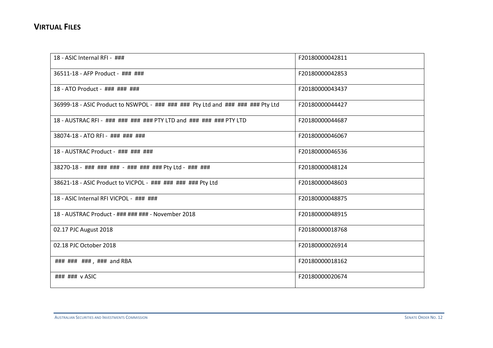| 18 - ASIC Internal RFI - ###                                                    | F20180000042811 |
|---------------------------------------------------------------------------------|-----------------|
| 36511-18 - AFP Product - ### ###                                                | F20180000042853 |
| 18 - ATO Product - ### ### ###                                                  | F20180000043437 |
| 36999-18 - ASIC Product to NSWPOL - ### ### ### Pty Ltd and ### ### ### Pty Ltd | F20180000044427 |
| 18 - AUSTRAC RFI - ### ### ### ### PTY LTD and ### ### ### PTY LTD              | F20180000044687 |
| 38074-18 - ATO RFI - ### ### ###                                                | F20180000046067 |
| 18 - AUSTRAC Product - ### ### ###                                              | F20180000046536 |
| 38270-18 - ### ### ### - ### ### ### Pty Ltd - ### ###                          | F20180000048124 |
| 38621-18 - ASIC Product to VICPOL - ### ### ### ### Pty Ltd                     | F20180000048603 |
| 18 - ASIC Internal RFI VICPOL - ### ###                                         | F20180000048875 |
| 18 - AUSTRAC Product - ### ### ### - November 2018                              | F20180000048915 |
| 02.17 PJC August 2018                                                           | F20180000018768 |
| 02.18 PJC October 2018                                                          | F20180000026914 |
| ### ### ### , ### and RBA                                                       | F20180000018162 |
| $\#$ ## $\#$ ## v ASIC                                                          | F20180000020674 |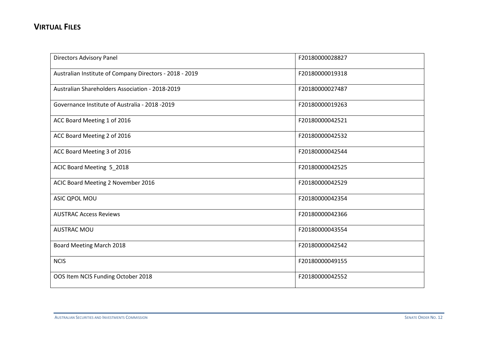| <b>Directors Advisory Panel</b>                         | F20180000028827 |
|---------------------------------------------------------|-----------------|
| Australian Institute of Company Directors - 2018 - 2019 | F20180000019318 |
| Australian Shareholders Association - 2018-2019         | F20180000027487 |
| Governance Institute of Australia - 2018 - 2019         | F20180000019263 |
| ACC Board Meeting 1 of 2016                             | F20180000042521 |
| ACC Board Meeting 2 of 2016                             | F20180000042532 |
| ACC Board Meeting 3 of 2016                             | F20180000042544 |
| ACIC Board Meeting 5_2018                               | F20180000042525 |
| ACIC Board Meeting 2 November 2016                      | F20180000042529 |
| ASIC QPOL MOU                                           | F20180000042354 |
| <b>AUSTRAC Access Reviews</b>                           | F20180000042366 |
| <b>AUSTRAC MOU</b>                                      | F20180000043554 |
| Board Meeting March 2018                                | F20180000042542 |
| <b>NCIS</b>                                             | F20180000049155 |
| OOS Item NCIS Funding October 2018                      | F20180000042552 |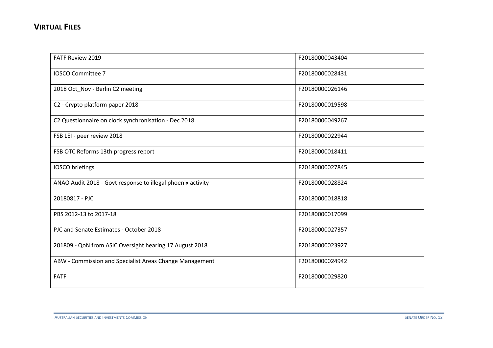| <b>FATF Review 2019</b>                                     | F20180000043404 |
|-------------------------------------------------------------|-----------------|
| <b>IOSCO Committee 7</b>                                    | F20180000028431 |
| 2018 Oct_Nov - Berlin C2 meeting                            | F20180000026146 |
| C2 - Crypto platform paper 2018                             | F20180000019598 |
| C2 Questionnaire on clock synchronisation - Dec 2018        | F20180000049267 |
| FSB LEI - peer review 2018                                  | F20180000022944 |
| FSB OTC Reforms 13th progress report                        | F20180000018411 |
| IOSCO briefings                                             | F20180000027845 |
| ANAO Audit 2018 - Govt response to illegal phoenix activity | F20180000028824 |
| 20180817 - PJC                                              | F20180000018818 |
| PBS 2012-13 to 2017-18                                      | F20180000017099 |
| PJC and Senate Estimates - October 2018                     | F20180000027357 |
| 201809 - QoN from ASIC Oversight hearing 17 August 2018     | F20180000023927 |
| ABW - Commission and Specialist Areas Change Management     | F20180000024942 |
| <b>FATF</b>                                                 | F20180000029820 |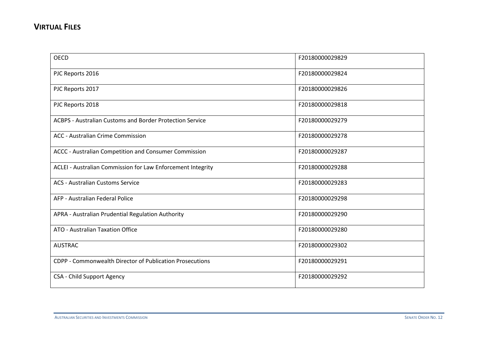| <b>OECD</b>                                                 | F20180000029829 |
|-------------------------------------------------------------|-----------------|
| PJC Reports 2016                                            | F20180000029824 |
| PJC Reports 2017                                            | F20180000029826 |
| PJC Reports 2018                                            | F20180000029818 |
| ACBPS - Australian Customs and Border Protection Service    | F20180000029279 |
| <b>ACC</b> - Australian Crime Commission                    | F20180000029278 |
| ACCC - Australian Competition and Consumer Commission       | F20180000029287 |
| ACLEI - Australian Commission for Law Enforcement Integrity | F20180000029288 |
| <b>ACS - Australian Customs Service</b>                     | F20180000029283 |
| AFP - Australian Federal Police                             | F20180000029298 |
| APRA - Australian Prudential Regulation Authority           | F20180000029290 |
| ATO - Australian Taxation Office                            | F20180000029280 |
| <b>AUSTRAC</b>                                              | F20180000029302 |
| CDPP - Commonwealth Director of Publication Prosecutions    | F20180000029291 |
| CSA - Child Support Agency                                  | F20180000029292 |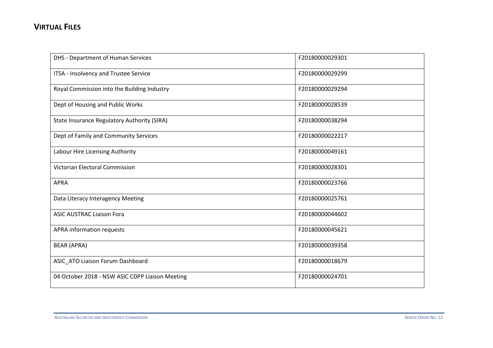| DHS - Department of Human Services              | F20180000029301 |
|-------------------------------------------------|-----------------|
| ITSA - Insolvency and Trustee Service           | F20180000029299 |
| Royal Commission into the Building Industry     | F20180000029294 |
| Dept of Housing and Public Works                | F20180000028539 |
| State Insurance Regulatory Authority (SIRA)     | F20180000038294 |
| Dept of Family and Community Services           | F20180000022217 |
| Labour Hire Licensing Authority                 | F20180000049161 |
| <b>Victorian Electoral Commission</b>           | F20180000028301 |
| <b>APRA</b>                                     | F20180000023766 |
| Data Literacy Interagency Meeting               | F20180000025761 |
| <b>ASIC AUSTRAC Liaison Fora</b>                | F20180000044602 |
| APRA information requests                       | F20180000045621 |
| <b>BEAR (APRA)</b>                              | F20180000039358 |
| ASIC_ATO Liaison Forum Dashboard                | F20180000018679 |
| 04 October 2018 - NSW ASIC CDPP Liaison Meeting | F20180000024701 |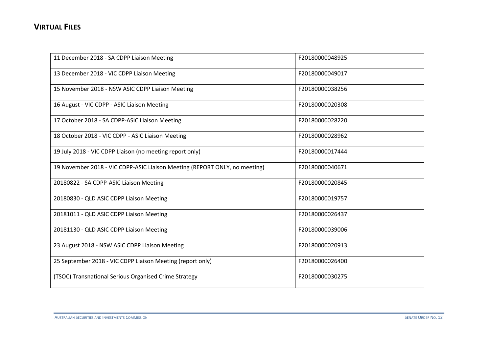| 11 December 2018 - SA CDPP Liaison Meeting                                 | F20180000048925 |
|----------------------------------------------------------------------------|-----------------|
| 13 December 2018 - VIC CDPP Liaison Meeting                                | F20180000049017 |
| 15 November 2018 - NSW ASIC CDPP Liaison Meeting                           | F20180000038256 |
| 16 August - VIC CDPP - ASIC Liaison Meeting                                | F20180000020308 |
| 17 October 2018 - SA CDPP-ASIC Liaison Meeting                             | F20180000028220 |
| 18 October 2018 - VIC CDPP - ASIC Liaison Meeting                          | F20180000028962 |
| 19 July 2018 - VIC CDPP Liaison (no meeting report only)                   | F20180000017444 |
| 19 November 2018 - VIC CDPP-ASIC Liaison Meeting (REPORT ONLY, no meeting) | F20180000040671 |
| 20180822 - SA CDPP-ASIC Liaison Meeting                                    | F20180000020845 |
| 20180830 - QLD ASIC CDPP Liaison Meeting                                   | F20180000019757 |
| 20181011 - QLD ASIC CDPP Liaison Meeting                                   | F20180000026437 |
| 20181130 - QLD ASIC CDPP Liaison Meeting                                   | F20180000039006 |
| 23 August 2018 - NSW ASIC CDPP Liaison Meeting                             | F20180000020913 |
| 25 September 2018 - VIC CDPP Liaison Meeting (report only)                 | F20180000026400 |
| (TSOC) Transnational Serious Organised Crime Strategy                      | F20180000030275 |